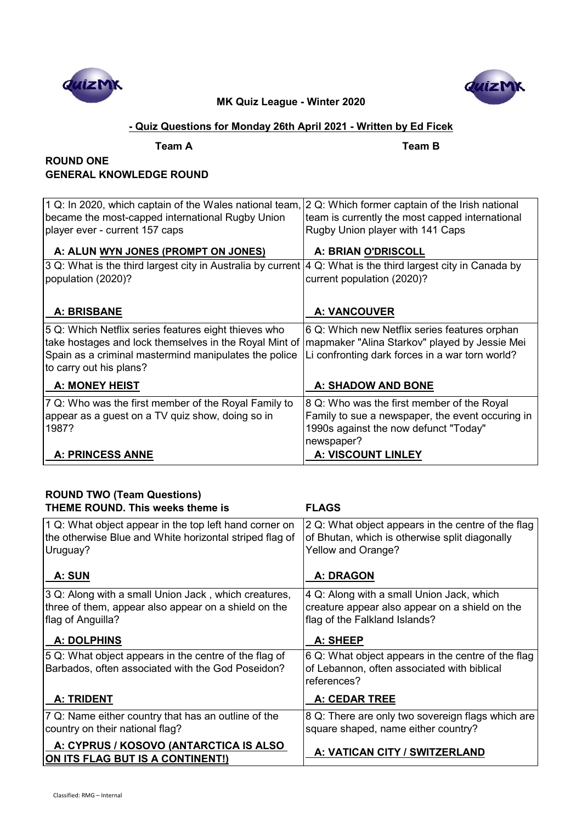



## **- Quiz Questions for Monday 26th April 2021 - Written by Ed Ficek**

**Team A Team B**

## **ROUND ONE GENERAL KNOWLEDGE ROUND**

| 1 Q: In 2020, which captain of the Wales national team, 2 Q: Which former captain of the Irish national<br>became the most-capped international Rugby Union | team is currently the most capped international      |
|-------------------------------------------------------------------------------------------------------------------------------------------------------------|------------------------------------------------------|
| player ever - current 157 caps                                                                                                                              | Rugby Union player with 141 Caps                     |
| A: ALUN WYN JONES (PROMPT ON JONES)                                                                                                                         | A: BRIAN O'DRISCOLL                                  |
| 3 Q: What is the third largest city in Australia by current                                                                                                 | $ 4 Q$ : What is the third largest city in Canada by |
| population (2020)?                                                                                                                                          | current population (2020)?                           |
|                                                                                                                                                             |                                                      |
| <b>A: BRISBANE</b>                                                                                                                                          | <b>A: VANCOUVER</b>                                  |
| 5 Q: Which Netflix series features eight thieves who                                                                                                        | 6 Q: Which new Netflix series features orphan        |
| take hostages and lock themselves in the Royal Mint of                                                                                                      | mapmaker "Alina Starkov" played by Jessie Mei        |
| Spain as a criminal mastermind manipulates the police<br>to carry out his plans?                                                                            | Li confronting dark forces in a war torn world?      |
|                                                                                                                                                             |                                                      |
| <b>A: MONEY HEIST</b>                                                                                                                                       | <b>A: SHADOW AND BONE</b>                            |
| 7 Q: Who was the first member of the Royal Family to                                                                                                        | 8 Q: Who was the first member of the Royal           |
| appear as a guest on a TV quiz show, doing so in                                                                                                            | Family to sue a newspaper, the event occuring in     |
| 1987?                                                                                                                                                       | 1990s against the now defunct "Today"                |
|                                                                                                                                                             | newspaper?                                           |
| <b>A: PRINCESS ANNE</b>                                                                                                                                     | <b>A: VISCOUNT LINLEY</b>                            |

# **ROUND TWO (Team Questions)**

| THEME ROUND. This weeks theme is                                                                                                  | <b>FLAGS</b>                                                                                                                 |
|-----------------------------------------------------------------------------------------------------------------------------------|------------------------------------------------------------------------------------------------------------------------------|
| 1 Q: What object appear in the top left hand corner on<br>the otherwise Blue and White horizontal striped flag of<br>Uruguay?     | 2 Q: What object appears in the centre of the flag<br>of Bhutan, which is otherwise split diagonally<br>Yellow and Orange?   |
| A: SUN                                                                                                                            | <b>A: DRAGON</b>                                                                                                             |
| 3 Q: Along with a small Union Jack, which creatures,<br>three of them, appear also appear on a shield on the<br>flag of Anguilla? | 4 Q: Along with a small Union Jack, which<br>creature appear also appear on a shield on the<br>flag of the Falkland Islands? |
| <b>A: DOLPHINS</b>                                                                                                                | A: SHEEP                                                                                                                     |
| 5 Q: What object appears in the centre of the flag of<br>Barbados, often associated with the God Poseidon?                        | 6 Q: What object appears in the centre of the flag<br>of Lebannon, often associated with biblical<br>references?             |
| <b>A: TRIDENT</b>                                                                                                                 | <b>A: CEDAR TREE</b>                                                                                                         |
| 7 Q: Name either country that has an outline of the<br>country on their national flag?                                            | 8 Q: There are only two sovereign flags which are<br>square shaped, name either country?                                     |
| A: CYPRUS / KOSOVO (ANTARCTICA IS ALSO<br>ON ITS FLAG BUT IS A CONTINENT!)                                                        | A: VATICAN CITY / SWITZERLAND                                                                                                |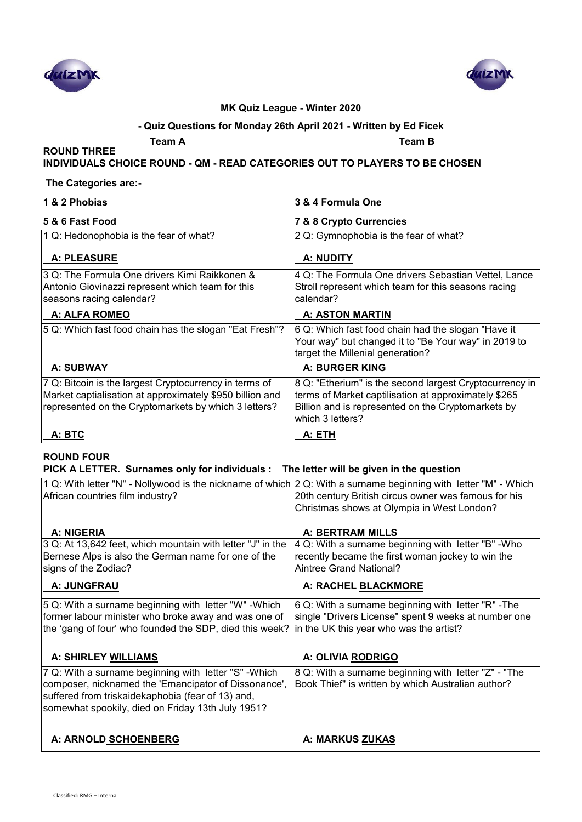



#### **- Quiz Questions for Monday 26th April 2021 - Written by Ed Ficek**

**Team A Team B**

## **INDIVIDUALS CHOICE ROUND - QM - READ CATEGORIES OUT TO PLAYERS TO BE CHOSEN**

#### **The Categories are:-**

| 1 & 2 Phobias |
|---------------|
|---------------|

**ROUND THREE** 

### **1 & 2 Phobias 3 & 4 Formula One**

| 5 & 6 Fast Food                                                                                                                                                            | 7 & 8 Crypto Currencies                                                                                                                                                                   |
|----------------------------------------------------------------------------------------------------------------------------------------------------------------------------|-------------------------------------------------------------------------------------------------------------------------------------------------------------------------------------------|
| 1 Q: Hedonophobia is the fear of what?                                                                                                                                     | 2 Q: Gymnophobia is the fear of what?                                                                                                                                                     |
| <b>A: PLEASURE</b>                                                                                                                                                         | A: NUDITY                                                                                                                                                                                 |
| 3 Q: The Formula One drivers Kimi Raikkonen &<br>Antonio Giovinazzi represent which team for this<br>seasons racing calendar?                                              | 4 Q: The Formula One drivers Sebastian Vettel, Lance<br>Stroll represent which team for this seasons racing<br>calendar?                                                                  |
| <b>A: ALFA ROMEO</b>                                                                                                                                                       | <b>A: ASTON MARTIN</b>                                                                                                                                                                    |
| 5 Q: Which fast food chain has the slogan "Eat Fresh"?                                                                                                                     | 6 Q: Which fast food chain had the slogan "Have it<br>Your way" but changed it to "Be Your way" in 2019 to<br>target the Millenial generation?                                            |
| <b>A: SUBWAY</b>                                                                                                                                                           | <b>A: BURGER KING</b>                                                                                                                                                                     |
| 7 Q: Bitcoin is the largest Cryptocurrency in terms of<br>Market captialisation at approximately \$950 billion and<br>represented on the Cryptomarkets by which 3 letters? | 8 Q: "Etherium" is the second largest Cryptocurrency in<br>terms of Market captilisation at approximately \$265<br>Billion and is represented on the Cryptomarkets by<br>which 3 letters? |
| A: BTC                                                                                                                                                                     | A: ETH                                                                                                                                                                                    |

### **ROUND FOUR**

#### **PICK A LETTER. Surnames only for individuals : The letter will be given in the question**

| 1 Q: With letter "N" - Nollywood is the nickname of which 2 Q: With a surname beginning with letter "M" - Which<br>African countries film industry?                                                                     | 20th century British circus owner was famous for his<br>Christmas shows at Olympia in West London?                                                     |
|-------------------------------------------------------------------------------------------------------------------------------------------------------------------------------------------------------------------------|--------------------------------------------------------------------------------------------------------------------------------------------------------|
| <b>A: NIGERIA</b>                                                                                                                                                                                                       | <b>A: BERTRAM MILLS</b>                                                                                                                                |
| 3 Q: At 13,642 feet, which mountain with letter "J" in the<br>Bernese Alps is also the German name for one of the<br>signs of the Zodiac?                                                                               | 4 Q: With a surname beginning with letter "B" - Who<br>recently became the first woman jockey to win the<br>Aintree Grand National?                    |
| A: JUNGFRAU                                                                                                                                                                                                             | A: RACHEL BLACKMORE                                                                                                                                    |
| 5 Q: With a surname beginning with letter "W" - Which<br>former labour minister who broke away and was one of<br>the 'gang of four' who founded the SDP, died this week?                                                | 6 Q: With a surname beginning with letter "R" - The<br>single "Drivers License" spent 9 weeks at number one<br>in the UK this year who was the artist? |
| A: SHIRLEY WILLIAMS                                                                                                                                                                                                     | A: OLIVIA RODRIGO                                                                                                                                      |
| 7 Q: With a surname beginning with letter "S" - Which<br>composer, nicknamed the 'Emancipator of Dissonance',<br>suffered from triskaidekaphobia (fear of 13) and,<br>somewhat spookily, died on Friday 13th July 1951? | 8 Q: With a surname beginning with letter "Z" - "The<br>Book Thief" is written by which Australian author?                                             |
| A: ARNOLD SCHOENBERG                                                                                                                                                                                                    | A: MARKUS ZUKAS                                                                                                                                        |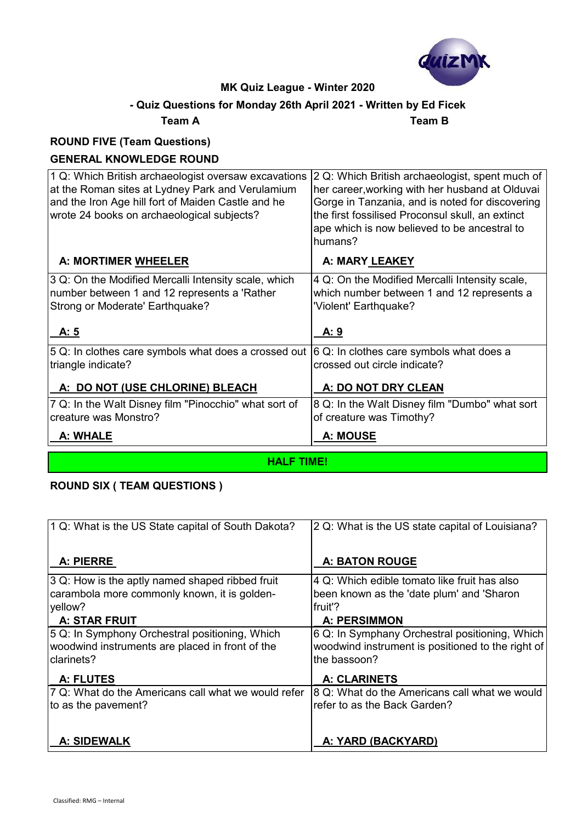

# **- Quiz Questions for Monday 26th April 2021 - Written by Ed Ficek**

**Team A Team B**

# **ROUND FIVE (Team Questions)**

## **GENERAL KNOWLEDGE ROUND**

| 1 Q: Which British archaeologist oversaw excavations<br>at the Roman sites at Lydney Park and Verulamium<br>and the Iron Age hill fort of Maiden Castle and he<br>wrote 24 books on archaeological subjects? | 2 Q: Which British archaeologist, spent much of<br>her career, working with her husband at Olduvai<br>Gorge in Tanzania, and is noted for discovering<br>the first fossilised Proconsul skull, an extinct<br>ape which is now believed to be ancestral to<br>humans? |
|--------------------------------------------------------------------------------------------------------------------------------------------------------------------------------------------------------------|----------------------------------------------------------------------------------------------------------------------------------------------------------------------------------------------------------------------------------------------------------------------|
| A: MORTIMER WHEELER                                                                                                                                                                                          | A: MARY LEAKEY                                                                                                                                                                                                                                                       |
| 3 Q: On the Modified Mercalli Intensity scale, which<br>number between 1 and 12 represents a 'Rather<br>Strong or Moderate' Earthquake?                                                                      | 4 Q: On the Modified Mercalli Intensity scale,<br>which number between 1 and 12 represents a<br>'Violent' Earthquake?                                                                                                                                                |
| A: 5                                                                                                                                                                                                         | A:9                                                                                                                                                                                                                                                                  |
| $ 5$ Q: In clothes care symbols what does a crossed out $ 6$ Q: In clothes care symbols what does a<br>triangle indicate?                                                                                    | crossed out circle indicate?                                                                                                                                                                                                                                         |
| A: DO NOT (USE CHLORINE) BLEACH                                                                                                                                                                              | A: DO NOT DRY CLEAN                                                                                                                                                                                                                                                  |
| 7 Q: In the Walt Disney film "Pinocchio" what sort of<br>creature was Monstro?                                                                                                                               | 8 Q: In the Walt Disney film "Dumbo" what sort<br>of creature was Timothy?                                                                                                                                                                                           |
| A: WHALE                                                                                                                                                                                                     | A: MOUSE                                                                                                                                                                                                                                                             |

**HALF TIME!**

### **ROUND SIX ( TEAM QUESTIONS )**

| 1 Q: What is the US State capital of South Dakota?  | 2 Q: What is the US state capital of Louisiana?   |
|-----------------------------------------------------|---------------------------------------------------|
| A: PIERRE                                           | <b>A: BATON ROUGE</b>                             |
| 3 Q: How is the aptly named shaped ribbed fruit     | 4 Q: Which edible tomato like fruit has also      |
| carambola more commonly known, it is golden-        | been known as the 'date plum' and 'Sharon         |
| yellow?                                             | fruit'?                                           |
| <b>A: STAR FRUIT</b>                                | <b>A: PERSIMMON</b>                               |
| 5 Q: In Symphony Orchestral positioning, Which      | 6 Q: In Symphany Orchestral positioning, Which    |
| woodwind instruments are placed in front of the     | woodwind instrument is positioned to the right of |
| clarinets?                                          | the bassoon?                                      |
| A: FLUTES                                           | <b>A: CLARINETS</b>                               |
| 7 Q: What do the Americans call what we would refer | 8 Q: What do the Americans call what we would     |
| to as the pavement?                                 | refer to as the Back Garden?                      |
| <b>A: SIDEWALK</b>                                  | A: YARD (BACKYARD)                                |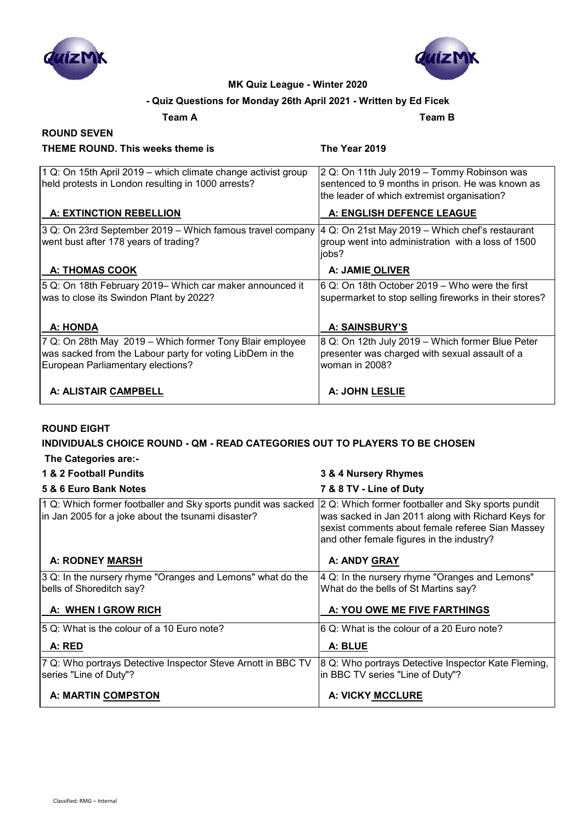



### **- Quiz Questions for Monday 26th April 2021 - Written by Ed Ficek**

**Team A Team B**

#### **ROUND SEVEN THEME ROUND. This weeks theme is The Year 2019**

| 1 Q: On 15th April 2019 – which climate change activist group<br>held protests in London resulting in 1000 arrests?                                        | 2 Q: On 11th July 2019 - Tommy Robinson was<br>sentenced to 9 months in prison. He was known as<br>the leader of which extremist organisation? |
|------------------------------------------------------------------------------------------------------------------------------------------------------------|------------------------------------------------------------------------------------------------------------------------------------------------|
| A: EXTINCTION REBELLION                                                                                                                                    | A: ENGLISH DEFENCE LEAGUE                                                                                                                      |
| 3 Q: On 23rd September 2019 – Which famous travel company<br>went bust after 178 years of trading?                                                         | 4 Q: On 21st May 2019 - Which chef's restaurant<br>group went into administration with a loss of 1500<br>jobs?                                 |
| <b>A: THOMAS COOK</b>                                                                                                                                      | A: JAMIE OLIVER                                                                                                                                |
| 5 Q: On 18th February 2019– Which car maker announced it<br>was to close its Swindon Plant by 2022?                                                        | 6 Q: On 18th October 2019 – Who were the first<br>supermarket to stop selling fireworks in their stores?                                       |
| A: HONDA                                                                                                                                                   | A: SAINSBURY'S                                                                                                                                 |
| 7 Q: On 28th May 2019 - Which former Tony Blair employee<br>was sacked from the Labour party for voting LibDem in the<br>European Parliamentary elections? | 8 Q: On 12th July 2019 - Which former Blue Peter<br>presenter was charged with sexual assault of a<br>woman in 2008?                           |
| A: ALISTAIR CAMPBELL                                                                                                                                       | A: JOHN LESLIE                                                                                                                                 |

#### **ROUND EIGHT**

# **INDIVIDUALS CHOICE ROUND - QM - READ CATEGORIES OUT TO PLAYERS TO BE CHOSEN**

 **The Categories are:-**

# **1 & 2 Football Pundits 3 & 4 Nursery Rhymes**

| 5 & 6 Euro Bank Notes                                                                                               | 7 & 8 TV - Line of Duty                                                                                                                                                                                   |
|---------------------------------------------------------------------------------------------------------------------|-----------------------------------------------------------------------------------------------------------------------------------------------------------------------------------------------------------|
| 1 Q: Which former footballer and Sky sports pundit was sacked<br>in Jan 2005 for a joke about the tsunami disaster? | 2 Q: Which former footballer and Sky sports pundit<br>was sacked in Jan 2011 along with Richard Keys for<br>sexist comments about female referee Sian Massey<br>and other female figures in the industry? |
| <b>A: RODNEY MARSH</b>                                                                                              | A: ANDY GRAY                                                                                                                                                                                              |
| 3 Q: In the nursery rhyme "Oranges and Lemons" what do the<br>bells of Shoreditch say?                              | 4 Q: In the nursery rhyme "Oranges and Lemons"<br>What do the bells of St Martins say?                                                                                                                    |
| A: WHEN I GROW RICH                                                                                                 | A: YOU OWE ME FIVE FARTHINGS                                                                                                                                                                              |
| 5 Q: What is the colour of a 10 Euro note?                                                                          | 6 Q: What is the colour of a 20 Euro note?                                                                                                                                                                |
| A: RED                                                                                                              | A: BLUE                                                                                                                                                                                                   |
| 7 Q: Who portrays Detective Inspector Steve Arnott in BBC TV<br>series "Line of Duty"?                              | 8 Q: Who portrays Detective Inspector Kate Fleming,<br>in BBC TV series "Line of Duty"?                                                                                                                   |
| A: MARTIN COMPSTON                                                                                                  | A: VICKY MCCLURE                                                                                                                                                                                          |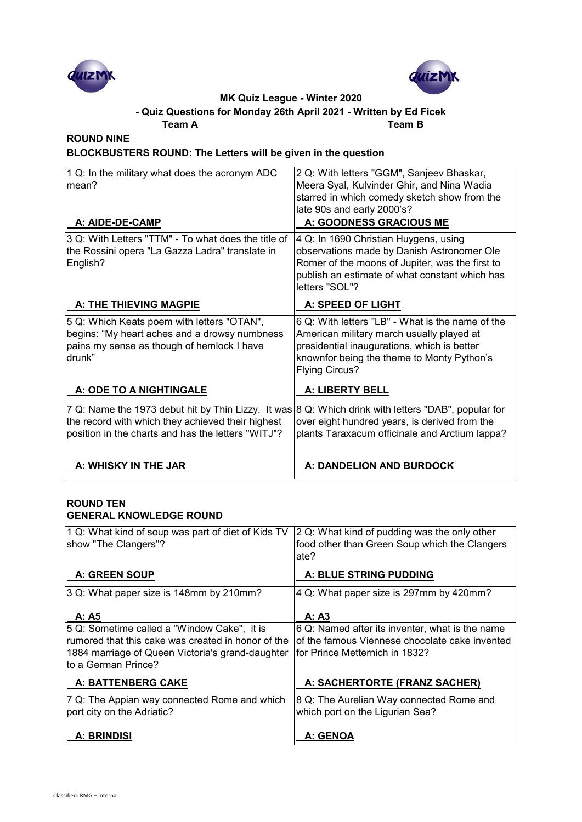



#### **Team A Team B - Quiz Questions for Monday 26th April 2021 - Written by Ed Ficek**

### **ROUND NINE**

**BLOCKBUSTERS ROUND: The Letters will be given in the question**

| 1 Q: In the military what does the acronym ADC<br>mean?<br>A: AIDE-DE-CAMP                                                                                    | 2 Q: With letters "GGM", Sanjeev Bhaskar,<br>Meera Syal, Kulvinder Ghir, and Nina Wadia<br>starred in which comedy sketch show from the<br>late 90s and early 2000's?<br>A: GOODNESS GRACIOUS ME                    |
|---------------------------------------------------------------------------------------------------------------------------------------------------------------|---------------------------------------------------------------------------------------------------------------------------------------------------------------------------------------------------------------------|
| 3 Q: With Letters "TTM" - To what does the title of<br>the Rossini opera "La Gazza Ladra" translate in<br>English?                                            | 4 Q: In 1690 Christian Huygens, using<br>observations made by Danish Astronomer Ole<br>Romer of the moons of Jupiter, was the first to<br>publish an estimate of what constant which has<br>letters "SOL"?          |
| A: THE THIEVING MAGPIE                                                                                                                                        | A: SPEED OF LIGHT                                                                                                                                                                                                   |
| 5 Q: Which Keats poem with letters "OTAN",<br>begins: "My heart aches and a drowsy numbness<br>pains my sense as though of hemlock I have<br>drunk"           | 6 Q: With letters "LB" - What is the name of the<br>American military march usually played at<br>presidential inaugurations, which is better<br>knownfor being the theme to Monty Python's<br><b>Flying Circus?</b> |
| A: ODE TO A NIGHTINGALE                                                                                                                                       | A: LIBERTY BELL                                                                                                                                                                                                     |
| 7 Q: Name the 1973 debut hit by Thin Lizzy. It was<br>the record with which they achieved their highest<br>position in the charts and has the letters "WITJ"? | 8 Q: Which drink with letters "DAB", popular for<br>over eight hundred years, is derived from the<br>plants Taraxacum officinale and Arctium lappa?                                                                 |
| A: WHISKY IN THE JAR                                                                                                                                          | A: DANDELION AND BURDOCK                                                                                                                                                                                            |

#### **ROUND TEN GENERAL KNOWLEDGE ROUND**

| 1 Q: What kind of soup was part of diet of Kids TV<br>show "The Clangers"?                                                                                                   | 2 Q: What kind of pudding was the only other<br>food other than Green Soup which the Clangers<br>ate?                               |
|------------------------------------------------------------------------------------------------------------------------------------------------------------------------------|-------------------------------------------------------------------------------------------------------------------------------------|
| <b>A: GREEN SOUP</b>                                                                                                                                                         | A: BLUE STRING PUDDING                                                                                                              |
| 3 Q: What paper size is 148mm by 210mm?                                                                                                                                      | 4 Q: What paper size is 297mm by 420mm?                                                                                             |
| A: A5                                                                                                                                                                        | A: A3                                                                                                                               |
| 5 Q: Sometime called a "Window Cake", it is<br>rumored that this cake was created in honor of the<br>1884 marriage of Queen Victoria's grand-daughter<br>to a German Prince? | 6 Q: Named after its inventer, what is the name<br>of the famous Viennese chocolate cake invented<br>for Prince Metternich in 1832? |
| A: BATTENBERG CAKE                                                                                                                                                           | A: SACHERTORTE (FRANZ SACHER)                                                                                                       |
| 7 Q: The Appian way connected Rome and which<br>port city on the Adriatic?                                                                                                   | 8 Q: The Aurelian Way connected Rome and<br>which port on the Ligurian Sea?                                                         |
| A: BRINDISI                                                                                                                                                                  | A: GENOA                                                                                                                            |